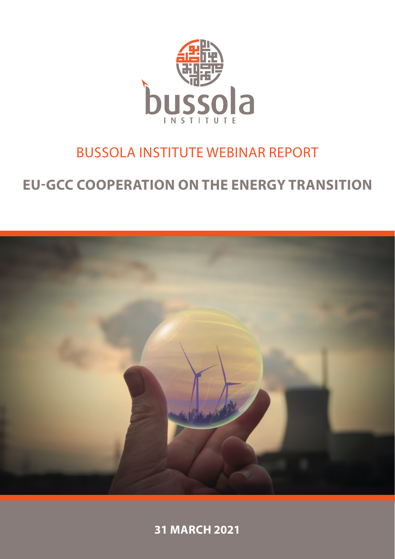

# BUSSOLA INSTITUTE WEBINAR REPORT

# **EU-GCC COOPERATION ON THE ENERGY TRANSITION**



**31 MARCH 2021**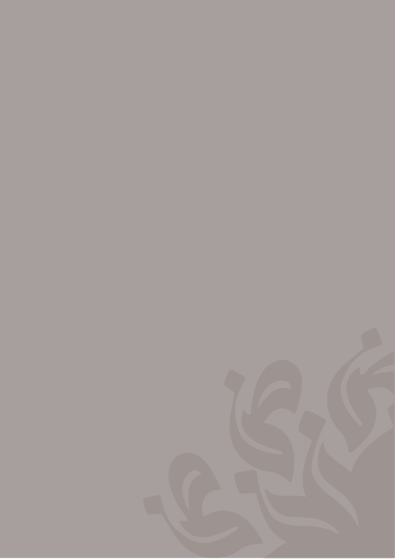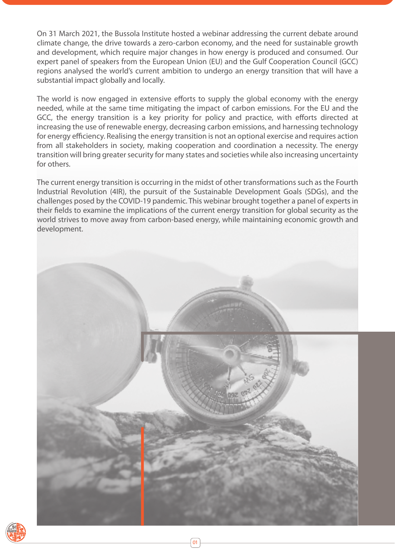On 31 March 2021, the Bussola Institute hosted a webinar addressing the current debate around climate change, the drive towards a zero-carbon economy, and the need for sustainable growth and development, which require major changes in how energy is produced and consumed. Our expert panel of speakers from the European Union (EU) and the Gulf Cooperation Council (GCC) regions analysed the world's current ambition to undergo an energy transition that will have a substantial impact globally and locally.

The world is now engaged in extensive efforts to supply the global economy with the energy needed, while at the same time mitigating the impact of carbon emissions. For the EU and the GCC, the energy transition is a key priority for policy and practice, with efforts directed at increasing the use of renewable energy, decreasing carbon emissions, and harnessing technology for energy efficiency. Realising the energy transition is not an optional exercise and requires action from all stakeholders in society, making cooperation and coordination a necessity. The energy transition will bring greater security for many states and societies while also increasing uncertainty for others.

The current energy transition is occurring in the midst of other transformations such as the Fourth Industrial Revolution (4IR), the pursuit of the Sustainable Development Goals (SDGs), and the challenges posed by the COVID-19 pandemic. This webinar brought together a panel of experts in their fields to examine the implications of the current energy transition for global security as the world strives to move away from carbon-based energy, while maintaining economic growth and development.



01

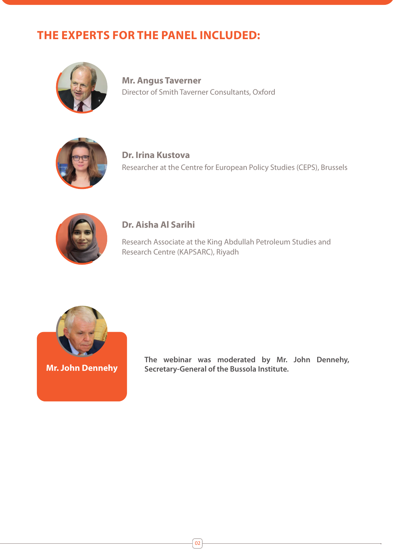# **THE EXPERTS FOR THE PANEL INCLUDED:**



**Mr. Angus Taverner** Director of Smith Taverner Consultants, Oxford



**Dr. Irina Kustova** Researcher at the Centre for European Policy Studies (CEPS), Brussels



#### **Dr. Aisha Al Sarihi**

Research Associate at the King Abdullah Petroleum Studies and Research Centre (KAPSARC), Riyadh



**Mr. John Dennehy**

**The webinar was moderated by Mr. John Dennehy, Secretary-General of the Bussola Institute.**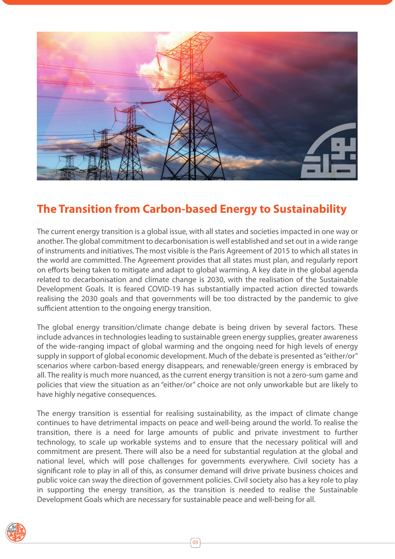

# **The Transition from Carbon-based Energy to Sustainability**

The current energy transition is a global issue, with all states and societies impacted in one way or another. The global commitment to decarbonisation is well established and set out in a wide range of instruments and initiatives. The most visible is the Paris Agreement of 2015 to which all states in the world are committed. The Agreement provides that all states must plan, and regularly report on efforts being taken to mitigate and adapt to global warming. A key date in the global agenda related to decarbonisation and climate change is 2030, with the realisation of the Sustainable Development Goals. It is feared COVID-19 has substantially impacted action directed towards realising the 2030 goals and that governments will be too distracted by the pandemic to give sufficient attention to the ongoing energy transition.

The global energy transition/climate change debate is being driven by several factors. These include advances in technologies leading to sustainable green energy supplies, greater awareness of the wide-ranging impact of global warming and the ongoing need for high levels of energy supply in support of global economic development. Much of the debate is presented as "either/or" scenarios where carbon-based energy disappears, and renewable/green energy is embraced by all. The reality is much more nuanced, as the current energy transition is not a zero-sum game and policies that view the situation as an "either/or" choice are not only unworkable but are likely to have highly negative consequences.

The energy transition is essential for realising sustainability, as the impact of climate change continues to have detrimental impacts on peace and well-being around the world. To realise the transition, there is a need for large amounts of public and private investment to further technology, to scale up workable systems and to ensure that the necessary political will and commitment are present. There will also be a need for substantial regulation at the global and national level, which will pose challenges for governments everywhere. Civil society has a significant role to play in all of this, as consumer demand will drive private business choices and public voice can sway the direction of government policies. Civil society also has a key role to play in supporting the energy transition, as the transition is needed to realise the Sustainable Development Goals which are necessary for sustainable peace and well-being for all.

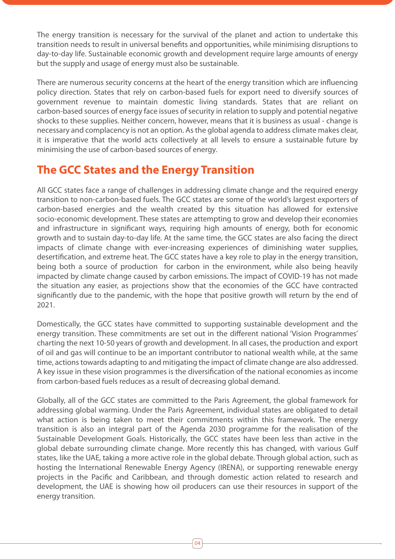The energy transition is necessary for the survival of the planet and action to undertake this transition needs to result in universal benefits and opportunities, while minimising disruptions to day-to-day life. Sustainable economic growth and development require large amounts of energy but the supply and usage of energy must also be sustainable.

There are numerous security concerns at the heart of the energy transition which are influencing policy direction. States that rely on carbon-based fuels for export need to diversify sources of government revenue to maintain domestic living standards. States that are reliant on carbon-based sources of energy face issues of security in relation to supply and potential negative shocks to these supplies. Neither concern, however, means that it is business as usual - change is necessary and complacency is not an option. As the global agenda to address climate makes clear, it is imperative that the world acts collectively at all levels to ensure a sustainable future by minimising the use of carbon-based sources of energy.

### **The GCC States and the Energy Transition**

All GCC states face a range of challenges in addressing climate change and the required energy transition to non-carbon-based fuels. The GCC states are some of the world's largest exporters of carbon-based energies and the wealth created by this situation has allowed for extensive socio-economic development. These states are attempting to grow and develop their economies and infrastructure in significant ways, requiring high amounts of energy, both for economic growth and to sustain day-to-day life. At the same time, the GCC states are also facing the direct impacts of climate change with ever-increasing experiences of diminishing water supplies, desertification, and extreme heat. The GCC states have a key role to play in the energy transition, being both a source of production for carbon in the environment, while also being heavily impacted by climate change caused by carbon emissions. The impact of COVID-19 has not made the situation any easier, as projections show that the economies of the GCC have contracted significantly due to the pandemic, with the hope that positive growth will return by the end of 2021.

Domestically, the GCC states have committed to supporting sustainable development and the energy transition. These commitments are set out in the different national 'Vision Programmes' charting the next 10-50 years of growth and development. In all cases, the production and export of oil and gas will continue to be an important contributor to national wealth while, at the same time, actions towards adapting to and mitigating the impact of climate change are also addressed. A key issue in these vision programmes is the diversification of the national economies as income from carbon-based fuels reduces as a result of decreasing global demand.

Globally, all of the GCC states are committed to the Paris Agreement, the global framework for addressing global warming. Under the Paris Agreement, individual states are obligated to detail what action is being taken to meet their commitments within this framework. The energy transition is also an integral part of the Agenda 2030 programme for the realisation of the Sustainable Development Goals. Historically, the GCC states have been less than active in the global debate surrounding climate change. More recently this has changed, with various Gulf states, like the UAE, taking a more active role in the global debate. Through global action, such as hosting the International Renewable Energy Agency (IRENA), or supporting renewable energy projects in the Pacific and Caribbean, and through domestic action related to research and development, the UAE is showing how oil producers can use their resources in support of the energy transition.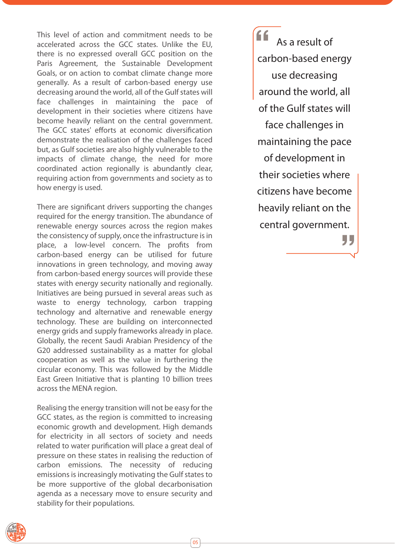This level of action and commitment needs to be accelerated across the GCC states. Unlike the EU, there is no expressed overall GCC position on the Paris Agreement, the Sustainable Development Goals, or on action to combat climate change more generally. As a result of carbon-based energy use decreasing around the world, all of the Gulf states will face challenges in maintaining the pace of development in their societies where citizens have become heavily reliant on the central government. The GCC states' efforts at economic diversification demonstrate the realisation of the challenges faced but, as Gulf societies are also highly vulnerable to the impacts of climate change, the need for more coordinated action regionally is abundantly clear, requiring action from governments and society as to how energy is used.

There are significant drivers supporting the changes required for the energy transition. The abundance of renewable energy sources across the region makes the consistency of supply, once the infrastructure is in place, a low-level concern. The profits from carbon-based energy can be utilised for future innovations in green technology, and moving away from carbon-based energy sources will provide these states with energy security nationally and regionally. Initiatives are being pursued in several areas such as waste to energy technology, carbon trapping technology and alternative and renewable energy technology. These are building on interconnected energy grids and supply frameworks already in place. Globally, the recent Saudi Arabian Presidency of the G20 addressed sustainability as a matter for global cooperation as well as the value in furthering the circular economy. This was followed by the Middle East Green Initiative that is planting 10 billion trees across the MENA region.

Realising the energy transition will not be easy for the GCC states, as the region is committed to increasing economic growth and development. High demands for electricity in all sectors of society and needs related to water purification will place a great deal of pressure on these states in realising the reduction of carbon emissions. The necessity of reducing emissions is increasingly motivating the Gulf states to be more supportive of the global decarbonisation agenda as a necessary move to ensure security and stability for their populations.

" As a result of carbon-based energy use decreasing around the world, all of the Gulf states will face challenges in maintaining the pace of development in their societies where citizens have become heavily reliant on the central government.

J 5,

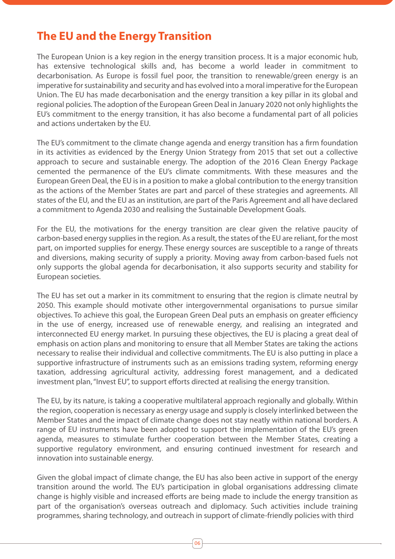### **The EU and the Energy Transition**

The European Union is a key region in the energy transition process. It is a major economic hub, has extensive technological skills and, has become a world leader in commitment to decarbonisation. As Europe is fossil fuel poor, the transition to renewable/green energy is an imperative for sustainability and security and has evolved into a moral imperative for the European Union. The EU has made decarbonisation and the energy transition a key pillar in its global and regional policies. The adoption of the European Green Deal in January 2020 not only highlights the EU's commitment to the energy transition, it has also become a fundamental part of all policies and actions undertaken by the EU.

The EU's commitment to the climate change agenda and energy transition has a firm foundation in its activities as evidenced by the Energy Union Strategy from 2015 that set out a collective approach to secure and sustainable energy. The adoption of the 2016 Clean Energy Package cemented the permanence of the EU's climate commitments. With these measures and the European Green Deal, the EU is in a position to make a global contribution to the energy transition as the actions of the Member States are part and parcel of these strategies and agreements. All states of the EU, and the EU as an institution, are part of the Paris Agreement and all have declared a commitment to Agenda 2030 and realising the Sustainable Development Goals.

For the EU, the motivations for the energy transition are clear given the relative paucity of carbon-based energy supplies in the region. As a result, the states of the EU are reliant, for the most part, on imported supplies for energy. These energy sources are susceptible to a range of threats and diversions, making security of supply a priority. Moving away from carbon-based fuels not only supports the global agenda for decarbonisation, it also supports security and stability for European societies.

The EU has set out a marker in its commitment to ensuring that the region is climate neutral by 2050. This example should motivate other intergovernmental organisations to pursue similar objectives. To achieve this goal, the European Green Deal puts an emphasis on greater efficiency in the use of energy, increased use of renewable energy, and realising an integrated and interconnected EU energy market. In pursuing these objectives, the EU is placing a great deal of emphasis on action plans and monitoring to ensure that all Member States are taking the actions necessary to realise their individual and collective commitments. The EU is also putting in place a supportive infrastructure of instruments such as an emissions trading system, reforming energy taxation, addressing agricultural activity, addressing forest management, and a dedicated investment plan, "Invest EU", to support efforts directed at realising the energy transition.

The EU, by its nature, is taking a cooperative multilateral approach regionally and globally. Within the region, cooperation is necessary as energy usage and supply is closely interlinked between the Member States and the impact of climate change does not stay neatly within national borders. A range of EU instruments have been adopted to support the implementation of the EU's green agenda, measures to stimulate further cooperation between the Member States, creating a supportive regulatory environment, and ensuring continued investment for research and innovation into sustainable energy.

Given the global impact of climate change, the EU has also been active in support of the energy transition around the world. The EU's participation in global organisations addressing climate change is highly visible and increased efforts are being made to include the energy transition as part of the organisation's overseas outreach and diplomacy. Such activities include training programmes, sharing technology, and outreach in support of climate-friendly policies with third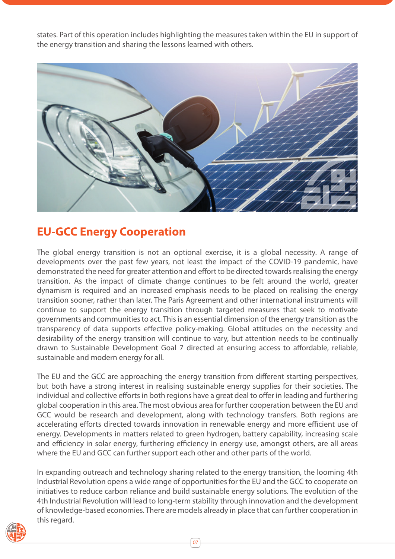states. Part of this operation includes highlighting the measures taken within the EU in support of the energy transition and sharing the lessons learned with others.



#### **EU-GCC Energy Cooperation**

The global energy transition is not an optional exercise, it is a global necessity. A range of developments over the past few years, not least the impact of the COVID-19 pandemic, have demonstrated the need for greater attention and effort to be directed towards realising the energy transition. As the impact of climate change continues to be felt around the world, greater dynamism is required and an increased emphasis needs to be placed on realising the energy transition sooner, rather than later. The Paris Agreement and other international instruments will continue to support the energy transition through targeted measures that seek to motivate governments and communities to act. This is an essential dimension of the energy transition as the transparency of data supports effective policy-making. Global attitudes on the necessity and desirability of the energy transition will continue to vary, but attention needs to be continually drawn to Sustainable Development Goal 7 directed at ensuring access to affordable, reliable, sustainable and modern energy for all.

The EU and the GCC are approaching the energy transition from different starting perspectives, but both have a strong interest in realising sustainable energy supplies for their societies. The individual and collective efforts in both regions have a great deal to offer in leading and furthering global cooperation in this area. The most obvious area for further cooperation between the EU and GCC would be research and development, along with technology transfers. Both regions are accelerating efforts directed towards innovation in renewable energy and more efficient use of energy. Developments in matters related to green hydrogen, battery capability, increasing scale and efficiency in solar energy, furthering efficiency in energy use, amongst others, are all areas where the EU and GCC can further support each other and other parts of the world.

In expanding outreach and technology sharing related to the energy transition, the looming 4th Industrial Revolution opens a wide range of opportunities for the EU and the GCC to cooperate on initiatives to reduce carbon reliance and build sustainable energy solutions. The evolution of the 4th Industrial Revolution will lead to long-term stability through innovation and the development of knowledge-based economies. There are models already in place that can further cooperation in this regard.

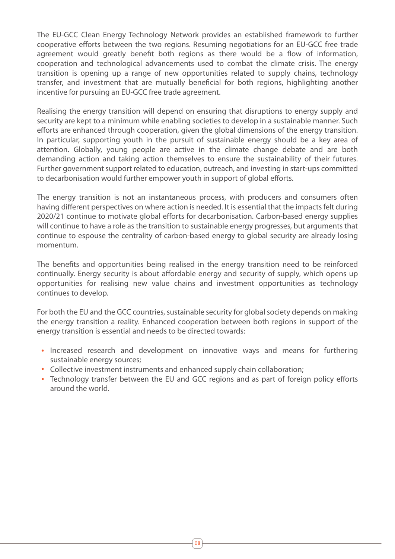The EU-GCC Clean Energy Technology Network provides an established framework to further cooperative efforts between the two regions. Resuming negotiations for an EU-GCC free trade agreement would greatly benefit both regions as there would be a flow of information, cooperation and technological advancements used to combat the climate crisis. The energy transition is opening up a range of new opportunities related to supply chains, technology transfer, and investment that are mutually beneficial for both regions, highlighting another incentive for pursuing an EU-GCC free trade agreement.

Realising the energy transition will depend on ensuring that disruptions to energy supply and security are kept to a minimum while enabling societies to develop in a sustainable manner. Such efforts are enhanced through cooperation, given the global dimensions of the energy transition. In particular, supporting youth in the pursuit of sustainable energy should be a key area of attention. Globally, young people are active in the climate change debate and are both demanding action and taking action themselves to ensure the sustainability of their futures. Further government support related to education, outreach, and investing in start-ups committed to decarbonisation would further empower youth in support of global efforts.

The energy transition is not an instantaneous process, with producers and consumers often having different perspectives on where action is needed. It is essential that the impacts felt during 2020/21 continue to motivate global efforts for decarbonisation. Carbon-based energy supplies will continue to have a role as the transition to sustainable energy progresses, but arguments that continue to espouse the centrality of carbon-based energy to global security are already losing momentum.

The benefits and opportunities being realised in the energy transition need to be reinforced continually. Energy security is about affordable energy and security of supply, which opens up opportunities for realising new value chains and investment opportunities as technology continues to develop.

For both the EU and the GCC countries, sustainable security for global society depends on making the energy transition a reality. Enhanced cooperation between both regions in support of the energy transition is essential and needs to be directed towards:

- Increased research and development on innovative ways and means for furthering sustainable energy sources;
- Collective investment instruments and enhanced supply chain collaboration;
- Technology transfer between the EU and GCC regions and as part of foreign policy efforts around the world.